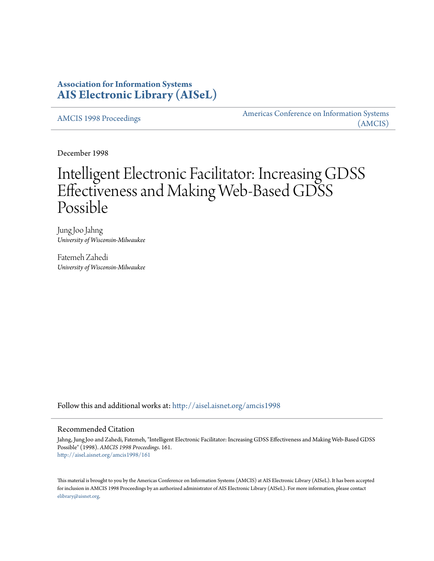# **Association for Information Systems [AIS Electronic Library \(AISeL\)](http://aisel.aisnet.org?utm_source=aisel.aisnet.org%2Famcis1998%2F161&utm_medium=PDF&utm_campaign=PDFCoverPages)**

[AMCIS 1998 Proceedings](http://aisel.aisnet.org/amcis1998?utm_source=aisel.aisnet.org%2Famcis1998%2F161&utm_medium=PDF&utm_campaign=PDFCoverPages)

[Americas Conference on Information Systems](http://aisel.aisnet.org/amcis?utm_source=aisel.aisnet.org%2Famcis1998%2F161&utm_medium=PDF&utm_campaign=PDFCoverPages) [\(AMCIS\)](http://aisel.aisnet.org/amcis?utm_source=aisel.aisnet.org%2Famcis1998%2F161&utm_medium=PDF&utm_campaign=PDFCoverPages)

December 1998

# Intelligent Electronic Facilitator: Increasing GDSS Effectiveness and Making Web-Based GDSS Possible

Jung Joo Jahng *University of Wisconsin-Milwaukee*

Fatemeh Zahedi *University of Wisconsin-Milwaukee*

Follow this and additional works at: [http://aisel.aisnet.org/amcis1998](http://aisel.aisnet.org/amcis1998?utm_source=aisel.aisnet.org%2Famcis1998%2F161&utm_medium=PDF&utm_campaign=PDFCoverPages)

## Recommended Citation

Jahng, Jung Joo and Zahedi, Fatemeh, "Intelligent Electronic Facilitator: Increasing GDSS Effectiveness and Making Web-Based GDSS Possible" (1998). *AMCIS 1998 Proceedings*. 161. [http://aisel.aisnet.org/amcis1998/161](http://aisel.aisnet.org/amcis1998/161?utm_source=aisel.aisnet.org%2Famcis1998%2F161&utm_medium=PDF&utm_campaign=PDFCoverPages)

This material is brought to you by the Americas Conference on Information Systems (AMCIS) at AIS Electronic Library (AISeL). It has been accepted for inclusion in AMCIS 1998 Proceedings by an authorized administrator of AIS Electronic Library (AISeL). For more information, please contact [elibrary@aisnet.org.](mailto:elibrary@aisnet.org%3E)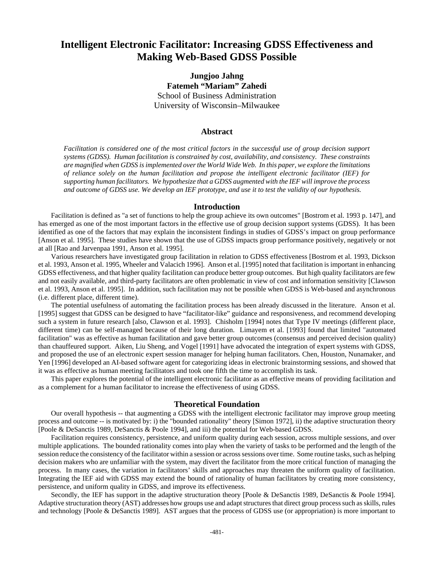# **Intelligent Electronic Facilitator: Increasing GDSS Effectiveness and Making Web-Based GDSS Possible**

**Jungjoo Jahng Fatemeh "Mariam" Zahedi** School of Business Administration University of Wisconsin–Milwaukee

#### **Abstract**

*Facilitation is considered one of the most critical factors in the successful use of group decision support systems (GDSS). Human facilitation is constrained by cost, availability, and consistency. These constraints are magnified when GDSS is implemented over the World Wide Web. In this paper, we explore the limitations of reliance solely on the human facilitation and propose the intelligent electronic facilitator (IEF) for supporting human facilitators. We hypothesize that a GDSS augmented with the IEF will improve the process and outcome of GDSS use. We develop an IEF prototype, and use it to test the validity of our hypothesis.*

#### **Introduction**

Facilitation is defined as "a set of functions to help the group achieve its own outcomes" [Bostrom et al. 1993 p. 147], and has emerged as one of the most important factors in the effective use of group decision support systems (GDSS). It has been identified as one of the factors that may explain the inconsistent findings in studies of GDSS's impact on group performance [Anson et al. 1995]. These studies have shown that the use of GDSS impacts group performance positively, negatively or not at all [Rao and Jarvenpaa 1991, Anson et al. 1995].

Various researchers have investigated group facilitation in relation to GDSS effectiveness [Bostrom et al. 1993, Dickson et al. 1993, Anson et al. 1995, Wheeler and Valacich 1996]. Anson et al. [1995] noted that facilitation is important in enhancing GDSS effectiveness, and that higher quality facilitation can produce better group outcomes. But high quality facilitators are few and not easily available, and third-party facilitators are often problematic in view of cost and information sensitivity [Clawson et al. 1993, Anson et al. 1995]. In addition, such facilitation may not be possible when GDSS is Web-based and asynchronous (i.e. different place, different time).

The potential usefulness of automating the facilitation process has been already discussed in the literature. Anson et al. [1995] suggest that GDSS can be designed to have "facilitator-like" guidance and responsiveness, and recommend developing such a system in future research [also, Clawson et al. 1993]. Chisholm [1994] notes that Type IV meetings (different place, different time) can be self-managed because of their long duration. Limayem et al. [1993] found that limited "automated facilitation" was as effective as human facilitation and gave better group outcomes (consensus and perceived decision quality) than chauffeured support. Aiken, Liu Sheng, and Vogel [1991] have advocated the integration of expert systems with GDSS, and proposed the use of an electronic expert session manager for helping human facilitators. Chen, Houston, Nunamaker, and Yen [1996] developed an AI-based software agent for categorizing ideas in electronic brainstorming sessions, and showed that it was as effective as human meeting facilitators and took one fifth the time to accomplish its task.

This paper explores the potential of the intelligent electronic facilitator as an effective means of providing facilitation and as a complement for a human facilitator to increase the effectiveness of using GDSS.

#### **Theoretical Foundation**

Our overall hypothesis -- that augmenting a GDSS with the intelligent electronic facilitator may improve group meeting process and outcome -- is motivated by: i) the "bounded rationality" theory [Simon 1972], ii) the adaptive structuration theory [Poole & DeSanctis 1989, DeSanctis & Poole 1994], and iii) the potential for Web-based GDSS.

Facilitation requires consistency, persistence, and uniform quality during each session, across multiple sessions, and over multiple applications. The bounded rationality comes into play when the variety of tasks to be performed and the length of the session reduce the consistency of the facilitator within a session or across sessions over time. Some routine tasks, such as helping decision makers who are unfamiliar with the system, may divert the facilitator from the more critical function of managing the process. In many cases, the variation in facilitators' skills and approaches may threaten the uniform quality of facilitation. Integrating the IEF aid with GDSS may extend the bound of rationality of human facilitators by creating more consistency, persistence, and uniform quality in GDSS, and improve its effectiveness.

Secondly, the IEF has support in the adaptive structuration theory [Poole & DeSanctis 1989, DeSanctis & Poole 1994]. Adaptive structuration theory (AST) addresses how groups use and adapt structures that direct group process such as skills, rules and technology [Poole & DeSanctis 1989]. AST argues that the process of GDSS use (or appropriation) is more important to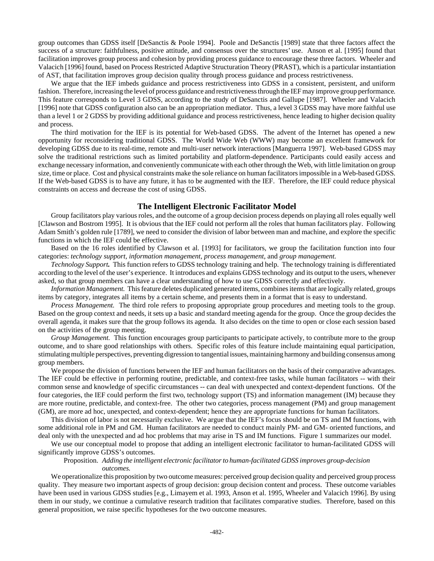group outcomes than GDSS itself [DeSanctis & Poole 1994]. Poole and DeSanctis [1989] state that three factors affect the success of a structure: faithfulness, positive attitude, and consensus over the structures' use. Anson et al. [1995] found that facilitation improves group process and cohesion by providing process guidance to encourage these three factors. Wheeler and Valacich [1996] found, based on Process Restricted Adaptive Structuration Theory (PRAST), which is a particular instantiation of AST, that facilitation improves group decision quality through process guidance and process restrictiveness.

We argue that the IEF imbeds guidance and process restrictiveness into GDSS in a consistent, persistent, and uniform fashion. Therefore, increasing the level of process guidance and restrictiveness through the IEF may improve group performance. This feature corresponds to Level 3 GDSS, according to the study of DeSanctis and Gallupe [1987]. Wheeler and Valacich [1996] note that GDSS configuration also can be an appropriation mediator. Thus, a level 3 GDSS may have more faithful use than a level 1 or 2 GDSS by providing additional guidance and process restrictiveness, hence leading to higher decision quality and process.

The third motivation for the IEF is its potential for Web-based GDSS. The advent of the Internet has opened a new opportunity for reconsidering traditional GDSS. The World Wide Web (WWW) may become an excellent framework for developing GDSS due to its real-time, remote and multi-user network interactions [Manguerra 1997]. Web-based GDSS may solve the traditional restrictions such as limited portability and platform-dependence. Participants could easily access and exchange necessary information, and conveniently communicate with each other through the Web, with little limitation on group size, time or place. Cost and physical constraints make the sole reliance on human facilitators impossible in a Web-based GDSS. If the Web-based GDSS is to have any future, it has to be augmented with the IEF. Therefore, the IEF could reduce physical constraints on access and decrease the cost of using GDSS.

### **The Intelligent Electronic Facilitator Model**

Group facilitators play various roles, and the outcome of a group decision process depends on playing all roles equally well [Clawson and Bostrom 1995]. It is obvious that the IEF could not perform all the roles that human facilitators play. Following Adam Smith's golden rule [1789], we need to consider the division of labor between man and machine, and explore the specific functions in which the IEF could be effective.

Based on the 16 roles identified by Clawson et al. [1993] for facilitators, we group the facilitation function into four categories: *technology support, information management, process management,* and *group management.*

*Technology Support.* This function refers to GDSS technology training and help. The technology training is differentiated according to the level of the user's experience. It introduces and explains GDSS technology and its output to the users, whenever asked, so that group members can have a clear understanding of how to use GDSS correctly and effectively.

*Information Management.* This feature deletes duplicated generated items, combines items that are logically related, groups items by category, integrates all items by a certain scheme, and presents them in a format that is easy to understand.

*Process Management.* The third role refers to proposing appropriate group procedures and meeting tools to the group. Based on the group context and needs, it sets up a basic and standard meeting agenda for the group. Once the group decides the overall agenda, it makes sure that the group follows its agenda. It also decides on the time to open or close each session based on the activities of the group meeting.

*Group Management.* This function encourages group participants to participate actively, to contribute more to the group outcome, and to share good relationships with others. Specific roles of this feature include maintaining equal participation, stimulating multiple perspectives, preventing digression to tangential issues, maintaining harmony and building consensus among group members.

We propose the division of functions between the IEF and human facilitators on the basis of their comparative advantages. The IEF could be effective in performing routine, predictable, and context-free tasks, while human facilitators -- with their common sense and knowledge of specific circumstances -- can deal with unexpected and context-dependent functions. Of the four categories, the IEF could perform the first two, technology support (TS) and information management (IM) because they are more routine, predictable, and context-free. The other two categories, process management (PM) and group management (GM), are more ad hoc, unexpected, and context-dependent; hence they are appropriate functions for human facilitators.

This division of labor is not necessarily exclusive. We argue that the IEF's focus should be on TS and IM functions, with some additional role in PM and GM. Human facilitators are needed to conduct mainly PM- and GM- oriented functions, and deal only with the unexpected and ad hoc problems that may arise in TS and IM functions. Figure 1 summarizes our model.

We use our conceptual model to propose that adding an intelligent electronic facilitator to human-facilitated GDSS will significantly improve GDSS's outcomes.

#### Proposition. *Adding the intelligent electronic facilitator to human-facilitated GDSS improves group-decision outcomes.*

We operationalize this proposition by two outcome measures: perceived group decision quality and perceived group process quality. They measure two important aspects of group decision: group decision content and process. These outcome variables have been used in various GDSS studies [e.g., Limayem et al. 1993, Anson et al. 1995, Wheeler and Valacich 1996]. By using them in our study, we continue a cumulative research tradition that facilitates comparative studies. Therefore, based on this general proposition, we raise specific hypotheses for the two outcome measures.